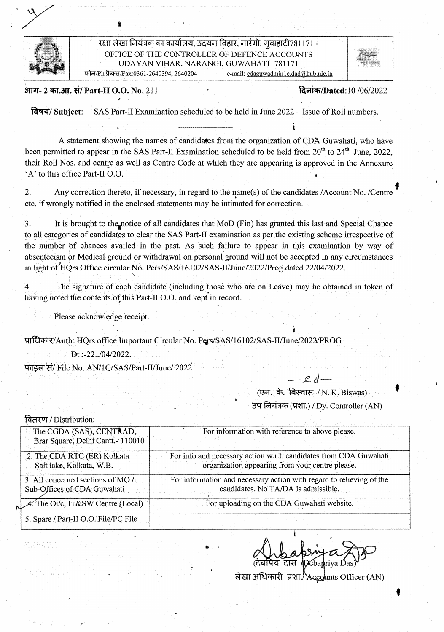

रक्षा लेखा नियंत्रक का कार्यालय, उदयन विहार, नारंगी, गुवाहाटी781171 -<sup>1</sup>OFFICE OF THE CONTROLLER OF DEFENCE ACCOUNTS UDAYAN VIHAR, NARANGI, GUWAHATI- 781171 फोन/Ph फ़ैक्स/Fax:0361-2640394, 2640204 e-mail: cdaguwadmin1c.dad@hub.nic.in

ai- r- 2 W.37. E/ Part-lI 0.0. No. 211 ¶?ciic\*iIDated:lO /06/2022

14974/ Subject: SAS Part-IT Examination scheduled to be held in June 2022 - Issue of Roll numbers.

A statement showing the names of candidates from the organization of CDA Guwahati, who have been permitted to appear in the SAS Part-II Examination scheduled to be held from  $20<sup>th</sup>$  to  $24<sup>th</sup>$  June, 2022, their Roll Nos. and centre as well as Centre Code at which they are appearing is approved in the Annexure 'A' to this office Part-II O.O.

2. Any correction thereto, if necessary, in regard to the name(s) of the candidates /Account No. /Centre etc, if wrongly notified in the enclosed statements may be intimated for correction.

3. It is brought to the notice of all candidates that MoD (Fin) has granted this last and Special Chance to all categories of candidates to clear the SAS Part-TI examination as per the existing scheme irrespective of the number Of chances availed in the past. As such failure to appear in this examination by way of absenteeism or Medical ground or withdrawal on personal ground will not be accepted in any circumstances in light of HQrs Office circular No. Pers/SAS/16102/SAS-II/June/2022/Prog dated 22/04/2022.

4. The signature of each candidate (including *those who are* on Leave) may be obtained in token of having noted the contents of this Part-II O.O. and kept in record.

Please acknowledge receipt.

प्राधिकार/Auth: HQrs office Important Circular No. Pers/SAS/16102/SAS-II/June/2022/PROG

Dt:-22../04/2022.

फाइल सं/ File No. AN/1C/SAS/Part-II/June/ 2022

(एन. के. बिस्वास / N. K. Biswas)

37q 1 t) (ff.) *I* Dy. Controller (AN)

| वितरण / Distribution: |  |  |  |
|-----------------------|--|--|--|
|                       |  |  |  |
|                       |  |  |  |
|                       |  |  |  |
|                       |  |  |  |
|                       |  |  |  |
|                       |  |  |  |
|                       |  |  |  |

| वितरण / Distribution:                                            |                                                                                                                      |
|------------------------------------------------------------------|----------------------------------------------------------------------------------------------------------------------|
| 1. The CGDA (SAS), CENTRAD,                                      | For information with reference to above please.                                                                      |
| Brar Square, Delhi Cantt. - 110010                               |                                                                                                                      |
| 2. The CDA RTC (ER) Kolkata<br>Salt lake, Kolkata, W.B.          | For info and necessary action w.r.t. candidates from CDA Guwahati<br>organization appearing from your centre please. |
| 3. All concerned sections of MO /<br>Sub-Offices of CDA Guwahati | For information and necessary action with regard to relieving of the<br>candidates. No TA/DA is admissible.          |
| $A$ . The Oi/c, IT&SW Centre (Local)                             | For uploading on the CDA Guwahati website.                                                                           |
| 5. Spare / Part-II O.O. File/PC File                             |                                                                                                                      |

लेखा अधिकारी प्रशा. Accounts Officer (AN)